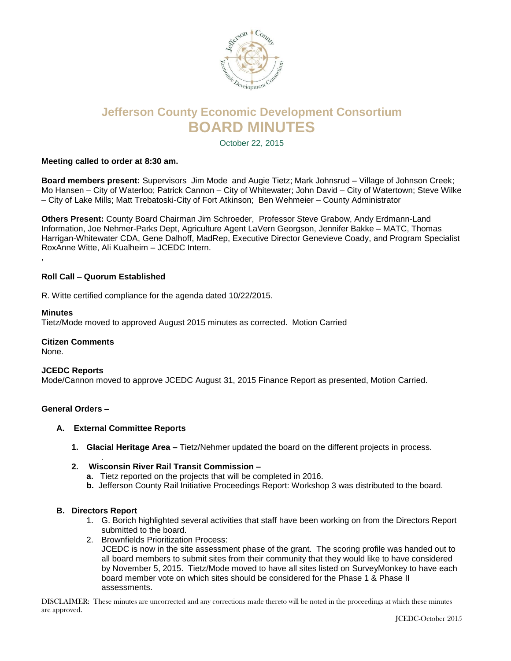

# **Jefferson County Economic Development Consortium BOARD MINUTES**

October 22, 2015

# **Meeting called to order at 8:30 am.**

**Board members present:** Supervisors Jim Mode and Augie Tietz; Mark Johnsrud – Village of Johnson Creek; Mo Hansen – City of Waterloo; Patrick Cannon – City of Whitewater; John David – City of Watertown; Steve Wilke – City of Lake Mills; Matt Trebatoski-City of Fort Atkinson; Ben Wehmeier – County Administrator

**Others Present:** County Board Chairman Jim Schroeder, Professor Steve Grabow, Andy Erdmann-Land Information, Joe Nehmer-Parks Dept, Agriculture Agent LaVern Georgson, Jennifer Bakke – MATC, Thomas Harrigan-Whitewater CDA, Gene Dalhoff, MadRep, Executive Director Genevieve Coady, and Program Specialist RoxAnne Witte, Ali Kualheim – JCEDC Intern. ,

# **Roll Call – Quorum Established**

R. Witte certified compliance for the agenda dated 10/22/2015.

## **Minutes**

Tietz/Mode moved to approved August 2015 minutes as corrected. Motion Carried

# **Citizen Comments**

None.

## **JCEDC Reports**

Mode/Cannon moved to approve JCEDC August 31, 2015 Finance Report as presented, Motion Carried.

## **General Orders –**

- **A. External Committee Reports**
	- **1. Glacial Heritage Area –** Tietz/Nehmer updated the board on the different projects in process.
	- **2. Wisconsin River Rail Transit Commission –**
		- **a.** Tietz reported on the projects that will be completed in 2016.
		- **b.** Jefferson County Rail Initiative Proceedings Report: Workshop 3 was distributed to the board.

## **B. Directors Report**

.

- 1. G. Borich highlighted several activities that staff have been working on from the Directors Report submitted to the board.
- 2. Brownfields Prioritization Process: JCEDC is now in the site assessment phase of the grant. The scoring profile was handed out to all board members to submit sites from their community that they would like to have considered by November 5, 2015. Tietz/Mode moved to have all sites listed on SurveyMonkey to have each board member vote on which sites should be considered for the Phase 1 & Phase II assessments.

DISCLAIMER: These minutes are uncorrected and any corrections made thereto will be noted in the proceedings at which these minutes are approved.